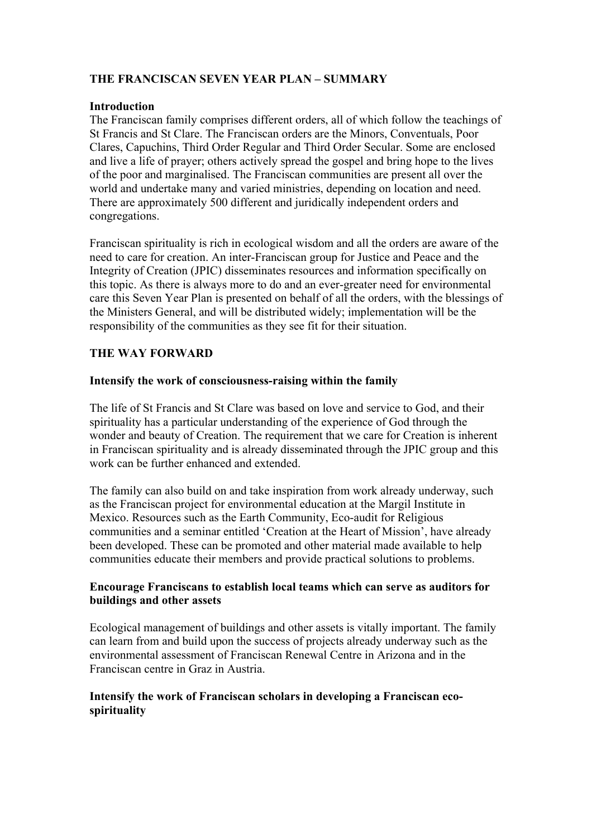# **THE FRANCISCAN SEVEN YEAR PLAN – SUMMARY**

#### **Introduction**

The Franciscan family comprises different orders, all of which follow the teachings of St Francis and St Clare. The Franciscan orders are the Minors, Conventuals, Poor Clares, Capuchins, Third Order Regular and Third Order Secular. Some are enclosed and live a life of prayer; others actively spread the gospel and bring hope to the lives of the poor and marginalised. The Franciscan communities are present all over the world and undertake many and varied ministries, depending on location and need. There are approximately 500 different and juridically independent orders and congregations.

Franciscan spirituality is rich in ecological wisdom and all the orders are aware of the need to care for creation. An inter-Franciscan group for Justice and Peace and the Integrity of Creation (JPIC) disseminates resources and information specifically on this topic. As there is always more to do and an ever-greater need for environmental care this Seven Year Plan is presented on behalf of all the orders, with the blessings of the Ministers General, and will be distributed widely; implementation will be the responsibility of the communities as they see fit for their situation.

# **THE WAY FORWARD**

#### **Intensify the work of consciousness-raising within the family**

The life of St Francis and St Clare was based on love and service to God, and their spirituality has a particular understanding of the experience of God through the wonder and beauty of Creation. The requirement that we care for Creation is inherent in Franciscan spirituality and is already disseminated through the JPIC group and this work can be further enhanced and extended.

The family can also build on and take inspiration from work already underway, such as the Franciscan project for environmental education at the Margil Institute in Mexico. Resources such as the Earth Community, Eco-audit for Religious communities and a seminar entitled 'Creation at the Heart of Mission', have already been developed. These can be promoted and other material made available to help communities educate their members and provide practical solutions to problems.

## **Encourage Franciscans to establish local teams which can serve as auditors for buildings and other assets**

Ecological management of buildings and other assets is vitally important. The family can learn from and build upon the success of projects already underway such as the environmental assessment of Franciscan Renewal Centre in Arizona and in the Franciscan centre in Graz in Austria.

## **Intensify the work of Franciscan scholars in developing a Franciscan ecospirituality**